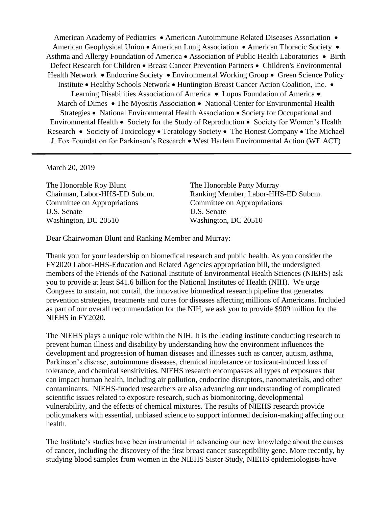American Academy of Pediatrics • American Autoimmune Related Diseases Association • American Geophysical Union • American Lung Association • American Thoracic Society • Asthma and Allergy Foundation of America • Association of Public Health Laboratories • Birth Defect Research for Children • Breast Cancer Prevention Partners • Children's Environmental Health Network • Endocrine Society • Environmental Working Group • Green Science Policy Institute • Healthy Schools Network • Huntington Breast Cancer Action Coalition, Inc. • Learning Disabilities Association of America • Lupus Foundation of America • March of Dimes • The Myositis Association • National Center for Environmental Health Strategies • National Environmental Health Association • Society for Occupational and Environmental Health • Society for the Study of Reproduction • Society for Women's Health Research • Society of Toxicology • Teratology Society • The Honest Company • The Michael J. Fox Foundation for Parkinson's Research • West Harlem Environmental Action (WE ACT)

March 20, 2019

The Honorable Roy Blunt The Honorable Patty Murray Committee on Appropriations Committee on Appropriations U.S. Senate U.S. Senate Washington, DC 20510 Washington, DC 20510

Chairman, Labor-HHS-ED Subcm. Ranking Member, Labor-HHS-ED Subcm.

Dear Chairwoman Blunt and Ranking Member and Murray:

Thank you for your leadership on biomedical research and public health. As you consider the FY2020 Labor-HHS-Education and Related Agencies appropriation bill, the undersigned members of the Friends of the National Institute of Environmental Health Sciences (NIEHS) ask you to provide at least \$41.6 billion for the National Institutes of Health (NIH). We urge Congress to sustain, not curtail, the innovative biomedical research pipeline that generates prevention strategies, treatments and cures for diseases affecting millions of Americans. Included as part of our overall recommendation for the NIH, we ask you to provide \$909 million for the NIEHS in FY2020.

The NIEHS plays a unique role within the NIH. It is the leading institute conducting research to prevent human illness and disability by understanding how the environment influences the development and progression of human diseases and illnesses such as cancer, autism, asthma, Parkinson's disease, autoimmune diseases, chemical intolerance or toxicant-induced loss of tolerance, and chemical sensitivities. NIEHS research encompasses all types of exposures that can impact human health, including air pollution, endocrine disruptors, nanomaterials, and other contaminants. NIEHS-funded researchers are also advancing our understanding of complicated scientific issues related to exposure research, such as biomonitoring, developmental vulnerability, and the effects of chemical mixtures. The results of NIEHS research provide policymakers with essential, unbiased science to support informed decision-making affecting our health.

The Institute's studies have been instrumental in advancing our new knowledge about the causes of cancer, including the discovery of the first breast cancer susceptibility gene. More recently, by studying blood samples from women in the NIEHS Sister Study, NIEHS epidemiologists have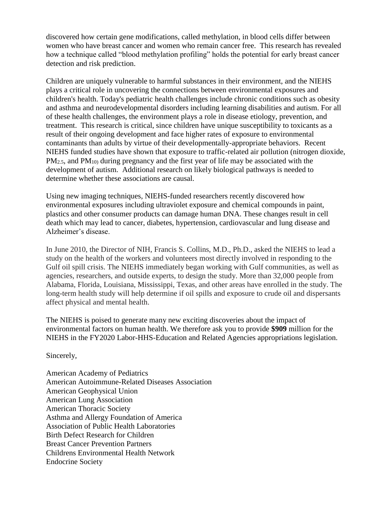discovered how certain gene modifications, called methylation, in blood cells differ between women who have breast cancer and women who remain cancer free. This research has revealed how a technique called "blood methylation profiling" holds the potential for early breast cancer detection and risk prediction.

Children are uniquely vulnerable to harmful substances in their environment, and the NIEHS plays a critical role in uncovering the connections between environmental exposures and children's health. Today's pediatric health challenges include chronic conditions such as obesity and asthma and neurodevelopmental disorders including learning disabilities and autism. For all of these health challenges, the environment plays a role in disease etiology, prevention, and treatment. This research is critical, since children have unique susceptibility to toxicants as a result of their ongoing development and face higher rates of exposure to environmental contaminants than adults by virtue of their developmentally-appropriate behaviors. Recent NIEHS funded studies have shown that exposure to traffic-related air pollution (nitrogen dioxide,  $PM_{2.5}$ , and  $PM_{10}$  during pregnancy and the first year of life may be associated with the development of autism. Additional research on likely biological pathways is needed to determine whether these associations are causal.

Using new imaging techniques, NIEHS-funded researchers recently discovered how environmental exposures including ultraviolet exposure and chemical compounds in paint, plastics and other consumer products can damage human DNA. These changes result in cell death which may lead to cancer, diabetes, hypertension, cardiovascular and lung disease and Alzheimer's disease.

In June 2010, the Director of NIH, Francis S. Collins, M.D., Ph.D., asked the NIEHS to lead a study on the health of the workers and volunteers most directly involved in responding to the Gulf oil spill crisis. The NIEHS immediately began working with Gulf communities, as well as agencies, researchers, and outside experts, to design the study. More than 32,000 people from Alabama, Florida, Louisiana, Mississippi, Texas, and other areas have enrolled in the study. The long-term health study will help determine if oil spills and exposure to crude oil and dispersants affect physical and mental health.

The NIEHS is poised to generate many new exciting discoveries about the impact of environmental factors on human health. We therefore ask you to provide **\$909** million for the NIEHS in the FY2020 Labor-HHS-Education and Related Agencies appropriations legislation.

Sincerely,

American Academy of Pediatrics American Autoimmune-Related Diseases Association American Geophysical Union American Lung Association American Thoracic Society Asthma and Allergy Foundation of America Association of Public Health Laboratories Birth Defect Research for Children Breast Cancer Prevention Partners Childrens Environmental Health Network Endocrine Society